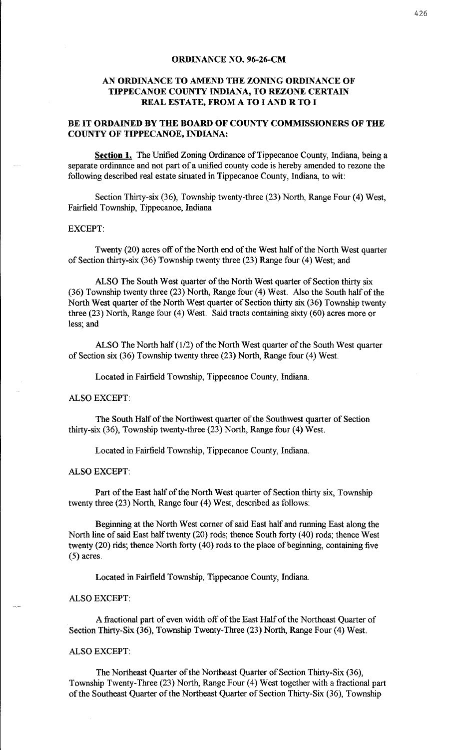#### **ORDINANCE NO. 96-26-CM**

# **AN ORDINANCE TO AMEND THE ZONING ORDINANCE OF TIPPECANOE COUNTY INDIANA, TO REZONE CERTAIN REAL ESTATE, FROM A TO I AND R TO I**

# **BE IT ORDAINED BY THE BOARD OF COUNTY COMMISSIONERS OF THE COUNTY OF TIPPECANOE, INDIANA:**

**Section 1.** The Unified Zoning Ordinance of Tippecanoe County, Indiana, being a separate ordinance and not part of a unified county code is hereby amended to rezone the following described real estate situated in Tippecanoe County, Indiana, to wit:

Section Thirty-six (36), Township twenty-three (23) North, Range Four (4) West, Fairfield Township, Tippecanoe, Indiana

## EXCEPT:

Twenty (20) acres off of the North end of the West half of the North West quarter of Section thirty-six (36) Township twenty three (23) Range four (4) West; and

ALSO The South West quarter of the North West quarter of Section thirty six (36) Township twenty three (23) North, Range four (4) West. Also the South half of the North West quarter of the North West quarter of Section thirty six (36) Township twenty three (23) North, Range four (4) West. Said tracts containing sixty (60) acres more or less; and

ALSO The North half (1/2) of the North West quarter of the South West quarter of Section six (36) Township twenty three (23) North, Range four (4) West.

Located in Fairfield Township, Tippecanoe County, Indiana.

#### ALSO EXCEPT:

The South Half of the Northwest quarter of the Southwest quarter of Section thirty-six (36), Township twenty-three (23) North, Range four (4) West.

Located in Fairfield Township, Tippecanoe County, Indiana.

### ALSO EXCEPT:

Part of the East half of the North West quarter of Section thirty six, Township twenty three (23) North, Range four (4) West, described as follows:

Beginning at the North West corner of said East half and running East along the North line of said East half twenty (20) rods; thence South forty ( 40) rods; thence West twenty  $(20)$  rids; thence North forty  $(40)$  rods to the place of beginning, containing five (5) acres.

Located in Fairfield Township, Tippecanoe County, Indiana.

#### ALSO EXCEPT:

A fractional part of even width off of the East Half of the Northeast Quarter of Section Thirty-Six (36), Township Twenty-Three (23) North, Range Four (4) West.

### ALSO EXCEPT:

The Northeast Quarter of the Northeast Quarter of Section Thirty-Six (36), Township Twenty-Three (23) North, Range Four (4) West together with a fractional part of the Southeast Quarter of the Northeast Quarter of Section Thirty-Six (36}, Township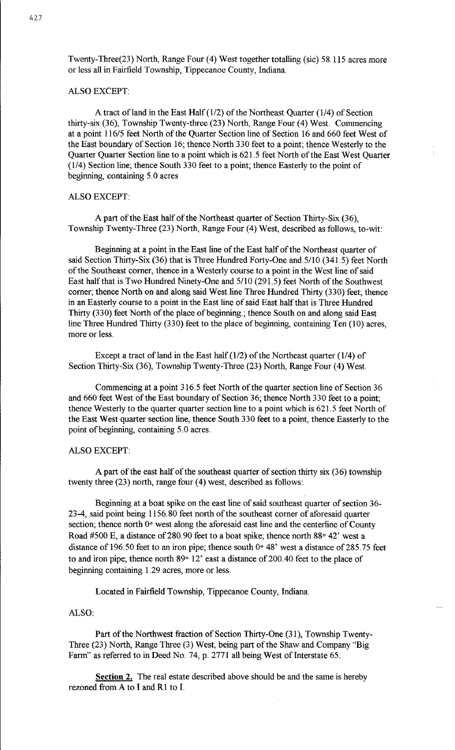Twenty-Three(23) North, Range Four (4) West together totalling (sic) 58.115 acres more or less all in Fairfield Township, Tippecanoe County, Indiana.

## ALSO EXCEPT:

A tract of land in the East Half  $(1/2)$  of the Northeast Quarter  $(1/4)$  of Section thirty-six (36), Township Twenty-three (23) North, Range Four (4) West. Commencing at a point 116/5 feet North of the Quarter Section line of Section 16 and 660 feet West of the East boundary of Section 16; thence North 330 feet to a point; thence Westerly to the Quarter Quarter Section line to a point which is 621.5 feet North of the East West Quarter (1/4) Section line; thence South 330 feet to a point; thence Easterly to the point of beginning, containing 5. 0 acres

# ALSO EXCEPT:

A part of the East half of the Northeast quarter of Section Thirty-Six (36), Township Twenty-Three (23) North, Range Four (4) West, described as follows, to-wit:

Beginning at a point in the East line of the East half of the Northeast quarter of said Section Thirty-Six (36) that is Three Hundred Forty-One and 5110 (341.5) feet North of the Southeast corner, thence in a Westerly course to a point in the West line of said East half that is Two Hundred Ninety-One and 5110 (291.5) feet North of the Southwest corner; thence North on and along said West line Three Hundred Thirty (330) feet; thence in an Easterly course to a point in the East line of said East half that is Three Hundred Thirty (330) feet North of the place of beginning.; thence South on and along said East line Three Hundred Thirty (330) feet to the place of beginning, containing Ten (10) acres, more or less.

Except a tract of land in the East half  $(1/2)$  of the Northeast quarter  $(1/4)$  of Section Thirty-Six (36), Township Twenty-Three (23) North, Range Four (4) West.

Commencing at a point 316.5 feet North of the quarter section line of Section 36 and 660 feet West of the East boundary of Section 36; thence North 330 feet to a point; thence Westerly to the quarter quarter section line to a point which is 621. 5 feet North of the East West quarter section line, thence South 330 feet to a point, thence Easterly to the point of beginning, containing 5.0 acres.

### ALSO EXCEPT:

A part of the east half of the southeast quarter of section thirty six (36) township twenty three  $(23)$  north, range four  $(4)$  west, described as follows:

Beginning at a boat spike on the east line of said southeast quarter of section 36- 23-4, said point being 1156.80 feet north of the southeast corner of aforesaid quarter section; thence north 0° west along the aforesaid east line and the centerline of County Road #500 E, a distance of 280.90 feet to a boat spike; thence north  $88° 42'$  west a distance of 196.50 feet to an iron pipe; thence south 0° 48' west a distance of 285.75 feet to and iron pipe; thence north 89° 12' east a distance of 200.40 feet to the place of beginning containing 1.29 acres, more or less.

Located in Fairfield Township, Tippecanoe County, Indiana.

## ALSO:

Part of the Northwest fraction of Section Thirty-One (31), Township Twenty-Three (23) North, Range Three (3) West, being part of the Shaw and Company "Big Farm" as referred to in Deed No. 74, p. 2771 all being West of Interstate 65.

**Section** 2. The real estate described above should be and the same is hereby rezoned from A to I and Rl to I.